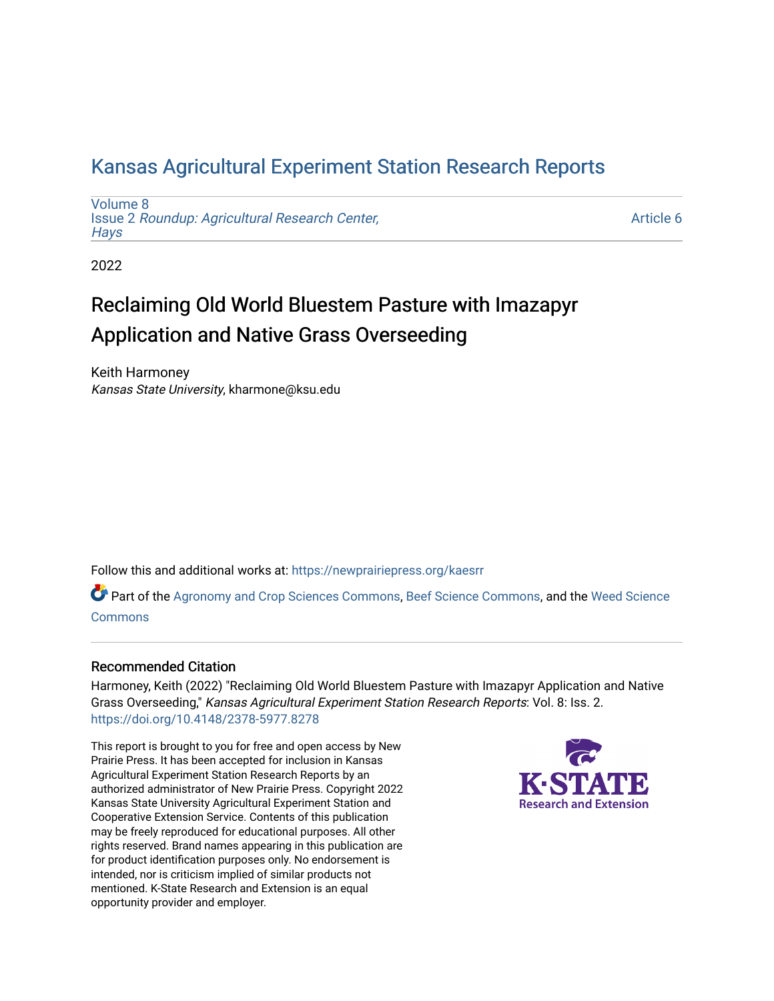## [Kansas Agricultural Experiment Station Research Reports](https://newprairiepress.org/kaesrr)

[Volume 8](https://newprairiepress.org/kaesrr/vol8) Issue 2 [Roundup: Agricultural Research Center,](https://newprairiepress.org/kaesrr/vol8/iss2)  **Hays** 

[Article 6](https://newprairiepress.org/kaesrr/vol8/iss2/6) 

2022

# Reclaiming Old World Bluestem Pasture with Imazapyr Application and Native Grass Overseeding

Keith Harmoney Kansas State University, kharmone@ksu.edu

Follow this and additional works at: [https://newprairiepress.org/kaesrr](https://newprairiepress.org/kaesrr?utm_source=newprairiepress.org%2Fkaesrr%2Fvol8%2Fiss2%2F6&utm_medium=PDF&utm_campaign=PDFCoverPages) 

Part of the [Agronomy and Crop Sciences Commons,](http://network.bepress.com/hgg/discipline/103?utm_source=newprairiepress.org%2Fkaesrr%2Fvol8%2Fiss2%2F6&utm_medium=PDF&utm_campaign=PDFCoverPages) [Beef Science Commons,](http://network.bepress.com/hgg/discipline/1404?utm_source=newprairiepress.org%2Fkaesrr%2Fvol8%2Fiss2%2F6&utm_medium=PDF&utm_campaign=PDFCoverPages) and the [Weed Science](http://network.bepress.com/hgg/discipline/1267?utm_source=newprairiepress.org%2Fkaesrr%2Fvol8%2Fiss2%2F6&utm_medium=PDF&utm_campaign=PDFCoverPages) [Commons](http://network.bepress.com/hgg/discipline/1267?utm_source=newprairiepress.org%2Fkaesrr%2Fvol8%2Fiss2%2F6&utm_medium=PDF&utm_campaign=PDFCoverPages)

## Recommended Citation

Harmoney, Keith (2022) "Reclaiming Old World Bluestem Pasture with Imazapyr Application and Native Grass Overseeding," Kansas Agricultural Experiment Station Research Reports: Vol. 8: Iss. 2. <https://doi.org/10.4148/2378-5977.8278>

This report is brought to you for free and open access by New Prairie Press. It has been accepted for inclusion in Kansas Agricultural Experiment Station Research Reports by an authorized administrator of New Prairie Press. Copyright 2022 Kansas State University Agricultural Experiment Station and Cooperative Extension Service. Contents of this publication may be freely reproduced for educational purposes. All other rights reserved. Brand names appearing in this publication are for product identification purposes only. No endorsement is intended, nor is criticism implied of similar products not mentioned. K-State Research and Extension is an equal opportunity provider and employer.

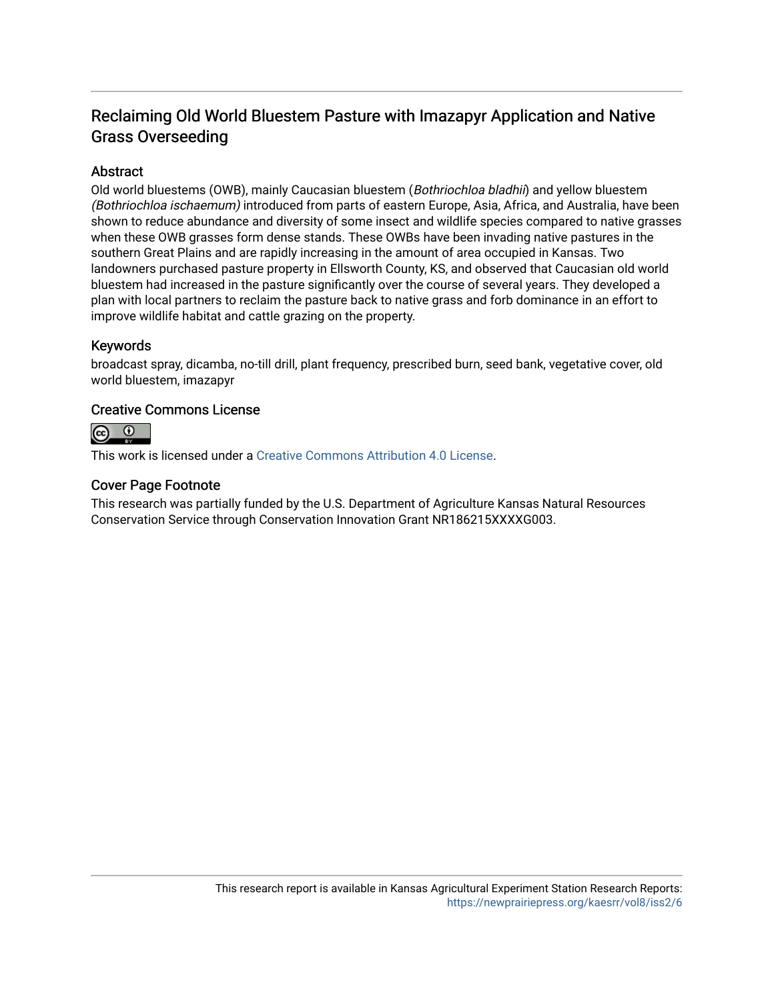## Reclaiming Old World Bluestem Pasture with Imazapyr Application and Native Grass Overseeding

## Abstract

Old world bluestems (OWB), mainly Caucasian bluestem (Bothriochloa bladhii) and yellow bluestem (Bothriochloa ischaemum) introduced from parts of eastern Europe, Asia, Africa, and Australia, have been shown to reduce abundance and diversity of some insect and wildlife species compared to native grasses when these OWB grasses form dense stands. These OWBs have been invading native pastures in the southern Great Plains and are rapidly increasing in the amount of area occupied in Kansas. Two landowners purchased pasture property in Ellsworth County, KS, and observed that Caucasian old world bluestem had increased in the pasture significantly over the course of several years. They developed a plan with local partners to reclaim the pasture back to native grass and forb dominance in an effort to improve wildlife habitat and cattle grazing on the property.

## Keywords

broadcast spray, dicamba, no-till drill, plant frequency, prescribed burn, seed bank, vegetative cover, old world bluestem, imazapyr

#### Creative Commons License



This work is licensed under a [Creative Commons Attribution 4.0 License](https://creativecommons.org/licenses/by/4.0/).

#### Cover Page Footnote

This research was partially funded by the U.S. Department of Agriculture Kansas Natural Resources Conservation Service through Conservation Innovation Grant NR186215XXXXG003.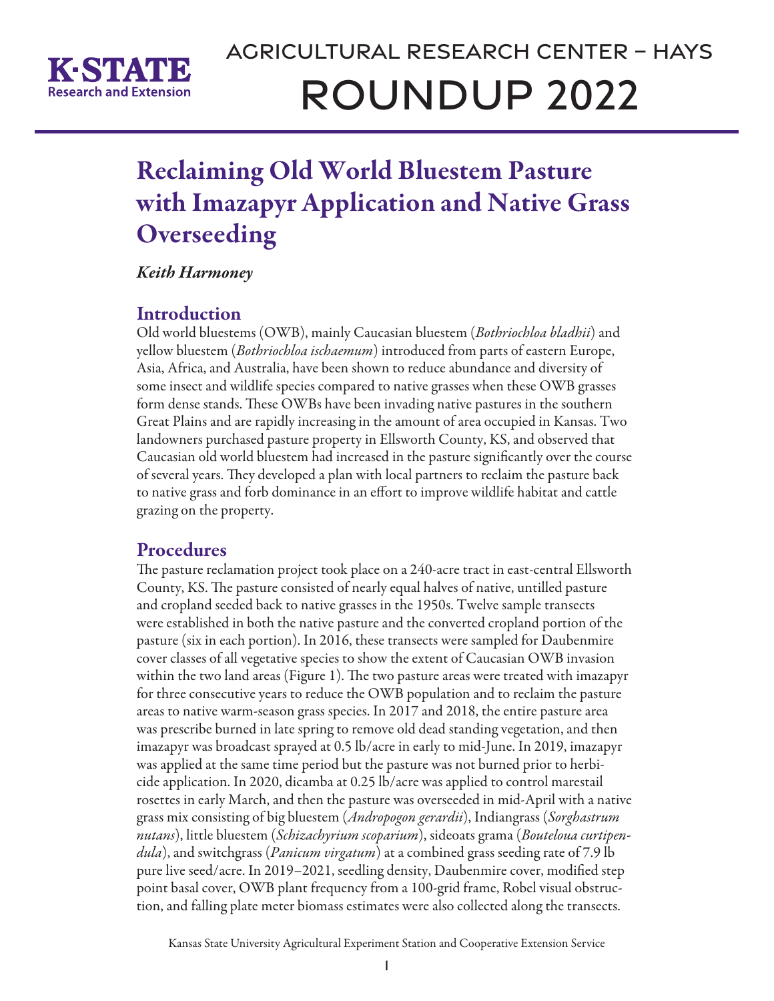

# Reclaiming Old World Bluestem Pasture with Imazapyr Application and Native Grass **Overseeding**

*Keith Harmoney*

## **Introduction**

Old world bluestems (OWB), mainly Caucasian bluestem (*Bothriochloa bladhii*) and yellow bluestem (*Bothriochloa ischaemum*) introduced from parts of eastern Europe, Asia, Africa, and Australia, have been shown to reduce abundance and diversity of some insect and wildlife species compared to native grasses when these OWB grasses form dense stands. These OWBs have been invading native pastures in the southern Great Plains and are rapidly increasing in the amount of area occupied in Kansas. Two landowners purchased pasture property in Ellsworth County, KS, and observed that Caucasian old world bluestem had increased in the pasture significantly over the course of several years. They developed a plan with local partners to reclaim the pasture back to native grass and forb dominance in an effort to improve wildlife habitat and cattle grazing on the property.

## **Procedures**

The pasture reclamation project took place on a 240-acre tract in east-central Ellsworth County, KS. The pasture consisted of nearly equal halves of native, untilled pasture and cropland seeded back to native grasses in the 1950s. Twelve sample transects were established in both the native pasture and the converted cropland portion of the pasture (six in each portion). In 2016, these transects were sampled for Daubenmire cover classes of all vegetative species to show the extent of Caucasian OWB invasion within the two land areas (Figure 1). The two pasture areas were treated with imazapyr for three consecutive years to reduce the OWB population and to reclaim the pasture areas to native warm-season grass species. In 2017 and 2018, the entire pasture area was prescribe burned in late spring to remove old dead standing vegetation, and then imazapyr was broadcast sprayed at 0.5 lb/acre in early to mid-June. In 2019, imazapyr was applied at the same time period but the pasture was not burned prior to herbicide application. In 2020, dicamba at 0.25 lb/acre was applied to control marestail rosettes in early March, and then the pasture was overseeded in mid-April with a native grass mix consisting of big bluestem (*Andropogon gerardii*), Indiangrass (*Sorghastrum nutans*), little bluestem (*Schizachyrium scoparium*), sideoats grama (*Bouteloua curtipendula*), and switchgrass (*Panicum virgatum*) at a combined grass seeding rate of 7.9 lb pure live seed/acre. In 2019–2021, seedling density, Daubenmire cover, modified step point basal cover, OWB plant frequency from a 100-grid frame, Robel visual obstruction, and falling plate meter biomass estimates were also collected along the transects.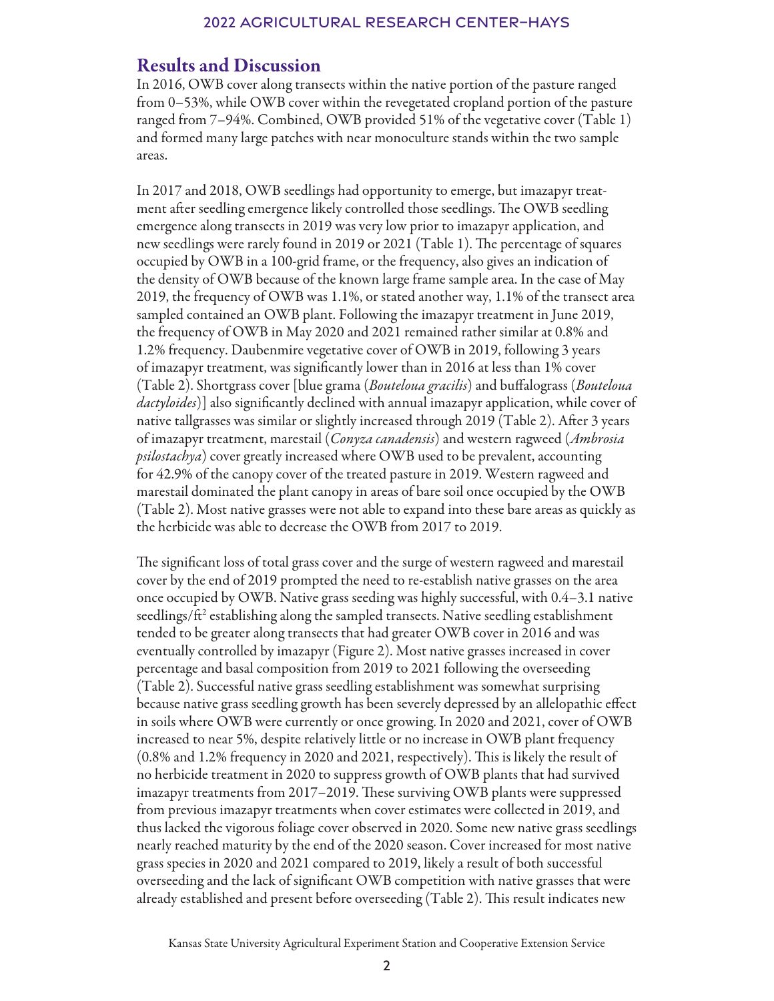## Results and Discussion

In 2016, OWB cover along transects within the native portion of the pasture ranged from 0–53%, while OWB cover within the revegetated cropland portion of the pasture ranged from 7–94%. Combined, OWB provided 51% of the vegetative cover (Table 1) and formed many large patches with near monoculture stands within the two sample areas.

In 2017 and 2018, OWB seedlings had opportunity to emerge, but imazapyr treatment after seedling emergence likely controlled those seedlings. The OWB seedling emergence along transects in 2019 was very low prior to imazapyr application, and new seedlings were rarely found in 2019 or 2021 (Table 1). The percentage of squares occupied by OWB in a 100-grid frame, or the frequency, also gives an indication of the density of OWB because of the known large frame sample area. In the case of May 2019, the frequency of OWB was 1.1%, or stated another way, 1.1% of the transect area sampled contained an OWB plant. Following the imazapyr treatment in June 2019, the frequency of OWB in May 2020 and 2021 remained rather similar at 0.8% and 1.2% frequency. Daubenmire vegetative cover of OWB in 2019, following 3 years of imazapyr treatment, was significantly lower than in 2016 at less than 1% cover (Table 2). Shortgrass cover [blue grama (*Bouteloua gracilis*) and buffalograss (*Bouteloua dactyloides*)] also significantly declined with annual imazapyr application, while cover of native tallgrasses was similar or slightly increased through 2019 (Table 2). After 3 years of imazapyr treatment, marestail (*Conyza canadensis*) and western ragweed (*Ambrosia psilostachya*) cover greatly increased where OWB used to be prevalent, accounting for 42.9% of the canopy cover of the treated pasture in 2019. Western ragweed and marestail dominated the plant canopy in areas of bare soil once occupied by the OWB (Table 2). Most native grasses were not able to expand into these bare areas as quickly as the herbicide was able to decrease the OWB from 2017 to 2019.

The significant loss of total grass cover and the surge of western ragweed and marestail cover by the end of 2019 prompted the need to re-establish native grasses on the area once occupied by OWB. Native grass seeding was highly successful, with 0.4–3.1 native seedlings/ft<sup>2</sup> establishing along the sampled transects. Native seedling establishment tended to be greater along transects that had greater OWB cover in 2016 and was eventually controlled by imazapyr (Figure 2). Most native grasses increased in cover percentage and basal composition from 2019 to 2021 following the overseeding (Table 2). Successful native grass seedling establishment was somewhat surprising because native grass seedling growth has been severely depressed by an allelopathic effect in soils where OWB were currently or once growing. In 2020 and 2021, cover of OWB increased to near 5%, despite relatively little or no increase in OWB plant frequency (0.8% and 1.2% frequency in 2020 and 2021, respectively). This is likely the result of no herbicide treatment in 2020 to suppress growth of OWB plants that had survived imazapyr treatments from 2017–2019. These surviving OWB plants were suppressed from previous imazapyr treatments when cover estimates were collected in 2019, and thus lacked the vigorous foliage cover observed in 2020. Some new native grass seedlings nearly reached maturity by the end of the 2020 season. Cover increased for most native grass species in 2020 and 2021 compared to 2019, likely a result of both successful overseeding and the lack of significant OWB competition with native grasses that were already established and present before overseeding (Table 2). This result indicates new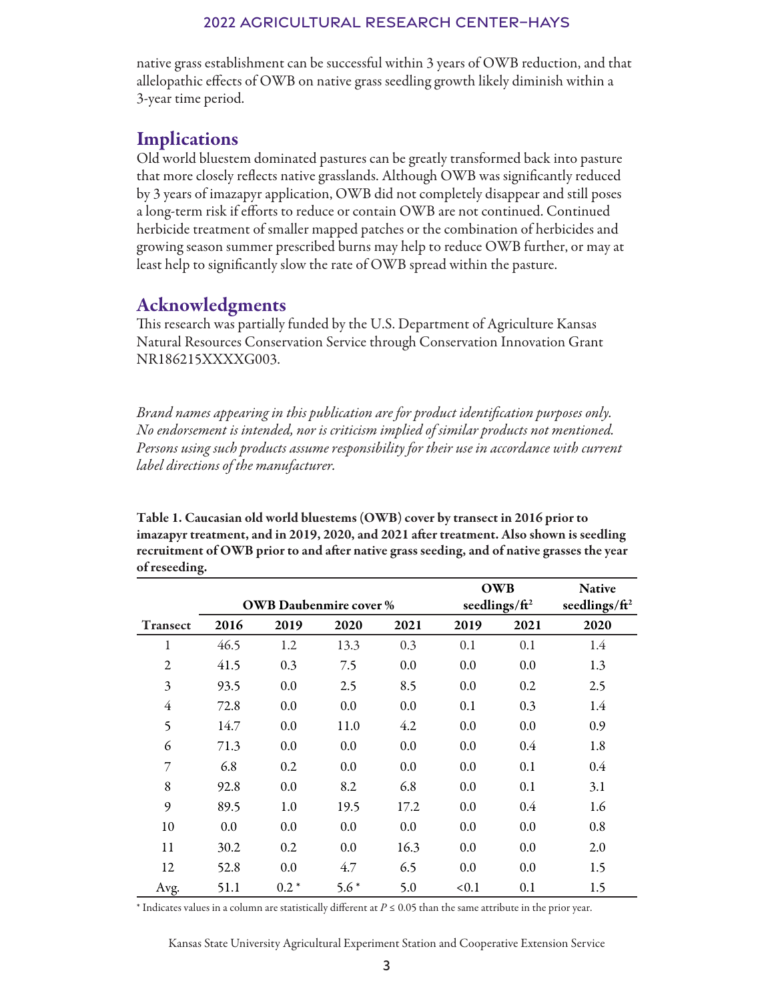native grass establishment can be successful within 3 years of OWB reduction, and that allelopathic effects of OWB on native grass seedling growth likely diminish within a 3-year time period.

## **Implications**

Old world bluestem dominated pastures can be greatly transformed back into pasture that more closely reflects native grasslands. Although OWB was significantly reduced by 3 years of imazapyr application, OWB did not completely disappear and still poses a long-term risk if efforts to reduce or contain OWB are not continued. Continued herbicide treatment of smaller mapped patches or the combination of herbicides and growing season summer prescribed burns may help to reduce OWB further, or may at least help to significantly slow the rate of OWB spread within the pasture.

## Acknowledgments

This research was partially funded by the U.S. Department of Agriculture Kansas Natural Resources Conservation Service through Conservation Innovation Grant NR186215XXXXG003.

*Brand names appearing in this publication are for product identification purposes only. No endorsement is intended, nor is criticism implied of similar products not mentioned. Persons using such products assume responsibility for their use in accordance with current label directions of the manufacturer.*

Table 1. Caucasian old world bluestems (OWB) cover by transect in 2016 prior to imazapyr treatment, and in 2019, 2020, and 2021 after treatment. Also shown is seedling recruitment of OWB prior to and after native grass seeding, and of native grasses the year of reseeding.

|                 |      |                               |        |      | <b>OWB</b>                |                           | <b>Native</b> |
|-----------------|------|-------------------------------|--------|------|---------------------------|---------------------------|---------------|
|                 |      | <b>OWB</b> Daubenmire cover % |        |      | seedlings/ft <sup>2</sup> | seedlings/ft <sup>2</sup> |               |
| <b>Transect</b> | 2016 | 2019                          | 2020   | 2021 | 2019                      | 2021                      | 2020          |
| 1               | 46.5 | 1.2                           | 13.3   | 0.3  | 0.1                       | 0.1                       | 1.4           |
| $\overline{c}$  | 41.5 | 0.3                           | 7.5    | 0.0  | 0.0                       | 0.0                       | 1.3           |
| $\mathfrak{Z}$  | 93.5 | 0.0                           | 2.5    | 8.5  | 0.0                       | 0.2                       | 2.5           |
| $\overline{4}$  | 72.8 | 0.0                           | 0.0    | 0.0  | 0.1                       | 0.3                       | 1.4           |
| 5               | 14.7 | 0.0                           | 11.0   | 4.2  | 0.0                       | 0.0                       | 0.9           |
| 6               | 71.3 | 0.0                           | 0.0    | 0.0  | 0.0                       | 0.4                       | 1.8           |
| 7               | 6.8  | 0.2                           | 0.0    | 0.0  | 0.0                       | 0.1                       | $0.4\,$       |
| 8               | 92.8 | 0.0                           | 8.2    | 6.8  | 0.0                       | 0.1                       | 3.1           |
| 9               | 89.5 | 1.0                           | 19.5   | 17.2 | 0.0                       | 0.4                       | 1.6           |
| 10              | 0.0  | 0.0                           | 0.0    | 0.0  | 0.0                       | 0.0                       | 0.8           |
| 11              | 30.2 | 0.2                           | 0.0    | 16.3 | 0.0                       | 0.0                       | 2.0           |
| 12              | 52.8 | 0.0                           | 4.7    | 6.5  | 0.0                       | 0.0                       | 1.5           |
| Avg.            | 51.1 | $0.2*$                        | $5.6*$ | 5.0  | < 0.1                     | 0.1                       | 1.5           |

\* Indicates values in a column are statistically different at *P* ≤ 0.05 than the same attribute in the prior year.

Kansas State University Agricultural Experiment Station and Cooperative Extension Service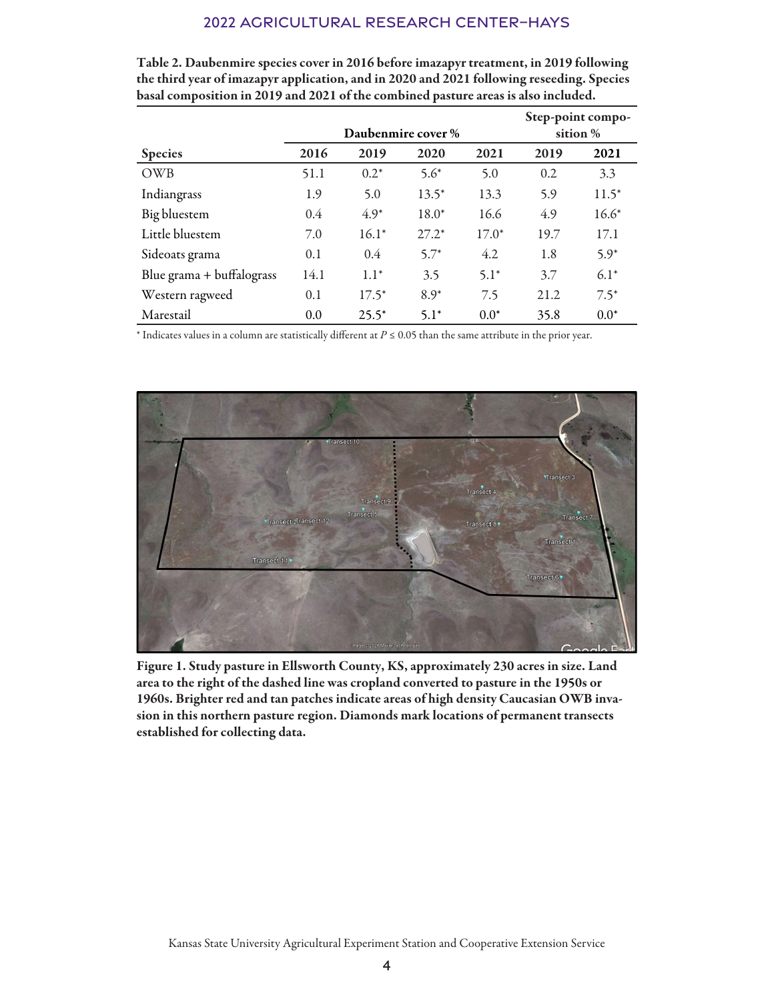|                           |                    |         |         |          | Step-point compo- |         |  |
|---------------------------|--------------------|---------|---------|----------|-------------------|---------|--|
|                           | Daubenmire cover % |         |         | sition % |                   |         |  |
| <b>Species</b>            | 2016               | 2019    | 2020    | 2021     | 2019              | 2021    |  |
| OWB                       | 51.1               | $0.2*$  | $5.6*$  | 5.0      | 0.2               | 3.3     |  |
| Indiangrass               | 1.9                | 5.0     | $13.5*$ | 13.3     | 5.9               | $11.5*$ |  |
| Big bluestem              | $0.4^{\circ}$      | $4.9*$  | $18.0*$ | 16.6     | 4.9               | $16.6*$ |  |
| Little bluestem           | 7.0                | $16.1*$ | $27.2*$ | $17.0*$  | 19.7              | 17.1    |  |
| Sideoats grama            | 0.1                | 0.4     | $5.7*$  | 4.2      | 1.8               | $5.9*$  |  |
| Blue grama + buffalograss | 14.1               | $1.1*$  | 3.5     | $5.1*$   | 3.7               | $6.1*$  |  |
| Western ragweed           | 0.1                | $17.5*$ | $8.9*$  | 7.5      | 21.2              | $7.5*$  |  |
| Marestail                 | 0.0                | $25.5*$ | $5.1*$  | $0.0*$   | 35.8              | $0.0*$  |  |

Table 2. Daubenmire species cover in 2016 before imazapyr treatment, in 2019 following the third year of imazapyr application, and in 2020 and 2021 following reseeding. Species basal composition in 2019 and 2021 of the combined pasture areas is also included.

\* Indicates values in a column are statistically different at *P* ≤ 0.05 than the same attribute in the prior year.



Figure 1. Study pasture in Ellsworth County, KS, approximately 230 acres in size. Land area to the right of the dashed line was cropland converted to pasture in the 1950s or 1960s. Brighter red and tan patches indicate areas of high density Caucasian OWB invasion in this northern pasture region. Diamonds mark locations of permanent transects established for collecting data.